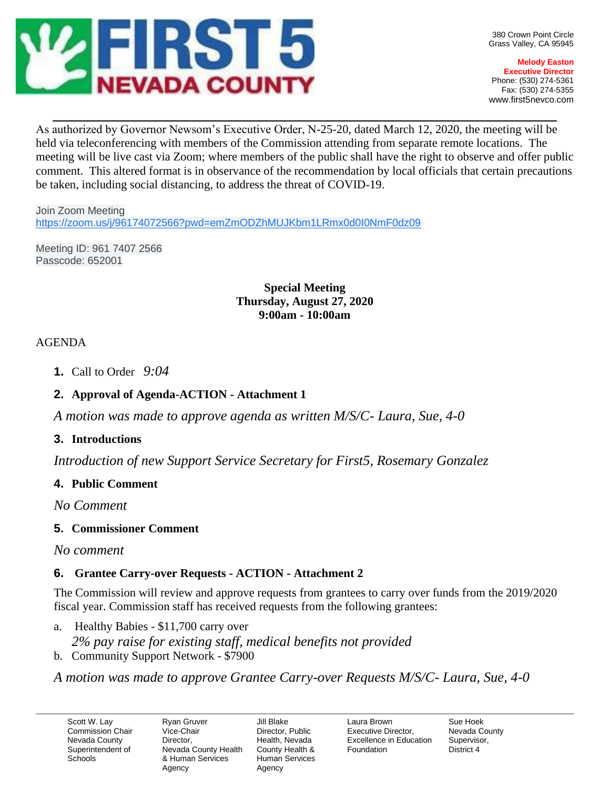

**Melody Easton Executive Director** Phone: (530) 274-5361 Fax: (530) 274-5355 www.first5nevco.com

As authorized by Governor Newsom's Executive Order, N-25-20, dated March 12, 2020, the meeting will be held via teleconferencing with members of the Commission attending from separate remote locations. The meeting will be live cast via Zoom; where members of the public shall have the right to observe and offer public comment. This altered format is in observance of the recommendation by local officials that certain precautions be taken, including social distancing, to address the threat of COVID-19.

 $\_$  , and the set of the set of the set of the set of the set of the set of the set of the set of the set of the set of the set of the set of the set of the set of the set of the set of the set of the set of the set of th

Join Zoom Meeting <https://zoom.us/j/96174072566?pwd=emZmODZhMUJKbm1LRmx0d0I0NmF0dz09>

Meeting ID: 961 7407 2566 Passcode: 652001

> **Special Meeting Thursday, August 27, 2020 9:00am - 10:00am**

## AGENDA

**1.** Call to Order *9:04*

# **2. Approval of Agenda-ACTION - Attachment 1**

*A motion was made to approve agenda as written M/S/C- Laura, Sue, 4-0*

## **3. Introductions**

*Introduction of new Support Service Secretary for First5, Rosemary Gonzalez*

## **4. Public Comment**

*No Comment*

## **5. Commissioner Comment**

*No comment*

## **6. Grantee Carry-over Requests - ACTION - Attachment 2**

The Commission will review and approve requests from grantees to carry over funds from the 2019/2020 fiscal year. Commission staff has received requests from the following grantees:

a. Healthy Babies - \$11,700 carry over

*2% pay raise for existing staff, medical benefits not provided* b. Community Support Network - \$7900

*A motion was made to approve Grantee Carry-over Requests M/S/C- Laura, Sue, 4-0*

Scott W. Lay Commission Chair Nevada County Superintendent of **Schools** 

Ryan Gruver Vice-Chair Director, Nevada County Health & Human Services Agency

Jill Blake Director, Public Health, Nevada County Health & Human Services Agency

Laura Brown Executive Director, Excellence in Education Foundation

Sue Hoek Nevada County Supervisor, District 4